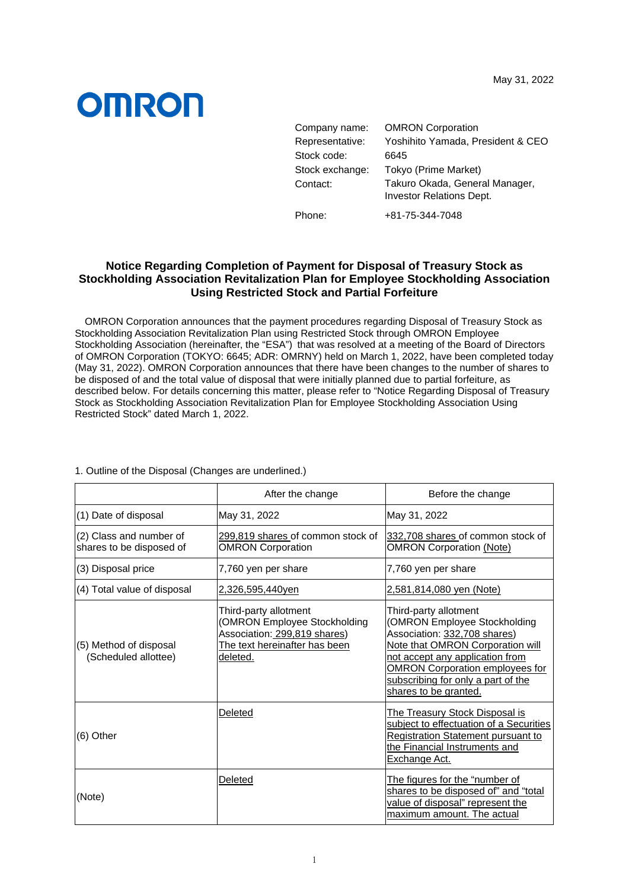## **OMRON**

| Company name:   | <b>OMRON Corporation</b>                                          |
|-----------------|-------------------------------------------------------------------|
| Representative: | Yoshihito Yamada, President & CEO                                 |
| Stock code:     | 6645                                                              |
| Stock exchange: | Tokyo (Prime Market)                                              |
| Contact:        | Takuro Okada, General Manager,<br><b>Investor Relations Dept.</b> |
| Phone:          | +81-75-344-7048                                                   |

## **Notice Regarding Completion of Payment for Disposal of Treasury Stock as Stockholding Association Revitalization Plan for Employee Stockholding Association Using Restricted Stock and Partial Forfeiture**

OMRON Corporation announces that the payment procedures regarding Disposal of Treasury Stock as Stockholding Association Revitalization Plan using Restricted Stock through OMRON Employee Stockholding Association (hereinafter, the "ESA") that was resolved at a meeting of the Board of Directors of OMRON Corporation (TOKYO: 6645; ADR: OMRNY) held on March 1, 2022, have been completed today (May 31, 2022). OMRON Corporation announces that there have been changes to the number of shares to be disposed of and the total value of disposal that were initially planned due to partial forfeiture, as described below. For details concerning this matter, please refer to "Notice Regarding Disposal of Treasury Stock as Stockholding Association Revitalization Plan for Employee Stockholding Association Using Restricted Stock" dated March 1, 2022.

|                                                     | After the change                                                                                                                         | Before the change                                                                                                                                                                                                                                                     |
|-----------------------------------------------------|------------------------------------------------------------------------------------------------------------------------------------------|-----------------------------------------------------------------------------------------------------------------------------------------------------------------------------------------------------------------------------------------------------------------------|
| (1) Date of disposal                                | May 31, 2022                                                                                                                             | May 31, 2022                                                                                                                                                                                                                                                          |
| (2) Class and number of<br>shares to be disposed of | 299,819 shares of common stock of<br><b>OMRON Corporation</b>                                                                            | 332,708 shares of common stock of<br><b>OMRON Corporation (Note)</b>                                                                                                                                                                                                  |
| (3) Disposal price                                  | 7,760 yen per share                                                                                                                      | 7,760 yen per share                                                                                                                                                                                                                                                   |
| (4) Total value of disposal                         | 2,326,595,440yen                                                                                                                         | 2,581,814,080 yen (Note)                                                                                                                                                                                                                                              |
| (5) Method of disposal<br>(Scheduled allottee)      | Third-party allotment<br><b>OMRON Employee Stockholding</b><br>Association: 299,819 shares)<br>The text hereinafter has been<br>deleted. | Third-party allotment<br>(OMRON Employee Stockholding<br>Association: 332,708 shares)<br>Note that OMRON Corporation will<br>not accept any application from<br><b>OMRON Corporation employees for</b><br>subscribing for only a part of the<br>shares to be granted. |
| (6) Other                                           | Deleted                                                                                                                                  | <b>The Treasury Stock Disposal is</b><br>subject to effectuation of a Securities<br>Registration Statement pursuant to<br>the Financial Instruments and<br>Exchange Act.                                                                                              |
| (Note)                                              | Deleted                                                                                                                                  | The figures for the "number of<br>shares to be disposed of" and "total<br>value of disposal" represent the<br>maximum amount. The actual                                                                                                                              |

1. Outline of the Disposal (Changes are underlined.)